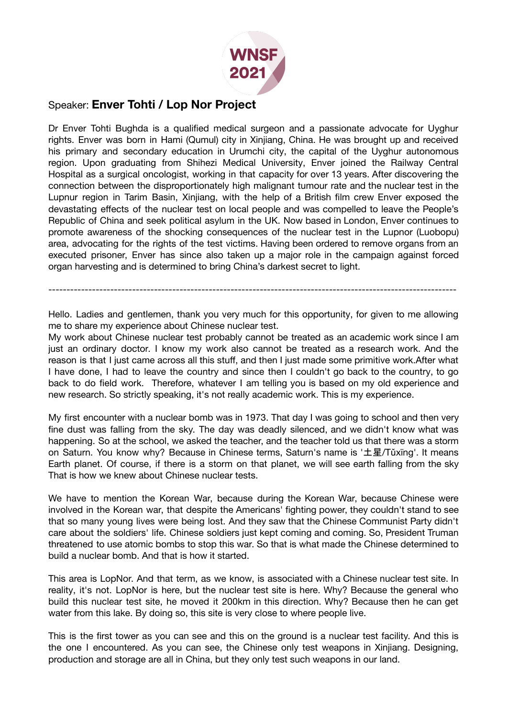

## Speaker: **Enver Tohti / Lop Nor Project**

Dr Enver Tohti Bughda is a qualified medical surgeon and a passionate advocate for Uyghur rights. Enver was born in Hami (Qumul) city in Xinjiang, China. He was brought up and received his primary and secondary education in Urumchi city, the capital of the Uyghur autonomous region. Upon graduating from Shihezi Medical University, Enver joined the Railway Central Hospital as a surgical oncologist, working in that capacity for over 13 years. After discovering the connection between the disproportionately high malignant tumour rate and the nuclear test in the Lupnur region in Tarim Basin, Xinjiang, with the help of a British film crew Enver exposed the devastating effects of the nuclear test on local people and was compelled to leave the People's Republic of China and seek political asylum in the UK. Now based in London, Enver continues to promote awareness of the shocking consequences of the nuclear test in the Lupnor (Luobopu) area, advocating for the rights of the test victims. Having been ordered to remove organs from an executed prisoner, Enver has since also taken up a major role in the campaign against forced organ harvesting and is determined to bring China's darkest secret to light.

----------------------------------------------------------------------------------------------------------------

Hello. Ladies and gentlemen, thank you very much for this opportunity, for given to me allowing me to share my experience about Chinese nuclear test.

My work about Chinese nuclear test probably cannot be treated as an academic work since I am just an ordinary doctor. I know my work also cannot be treated as a research work. And the reason is that I just came across all this stuff, and then I just made some primitive work.After what I have done, I had to leave the country and since then I couldn't go back to the country, to go back to do field work. Therefore, whatever I am telling you is based on my old experience and new research. So strictly speaking, it's not really academic work. This is my experience.

My first encounter with a nuclear bomb was in 1973. That day I was going to school and then very fine dust was falling from the sky. The day was deadly silenced, and we didn't know what was happening. So at the school, we asked the teacher, and the teacher told us that there was a storm on Saturn. You know why? Because in Chinese terms, Saturn's name is '土星/Tǔxīng'. It means Earth planet. Of course, if there is a storm on that planet, we will see earth falling from the sky That is how we knew about Chinese nuclear tests.

We have to mention the Korean War, because during the Korean War, because Chinese were involved in the Korean war, that despite the Americans' fighting power, they couldn't stand to see that so many young lives were being lost. And they saw that the Chinese Communist Party didn't care about the soldiers' life. Chinese soldiers just kept coming and coming. So, President Truman threatened to use atomic bombs to stop this war. So that is what made the Chinese determined to build a nuclear bomb. And that is how it started.

This area is LopNor. And that term, as we know, is associated with a Chinese nuclear test site. In reality, it's not. LopNor is here, but the nuclear test site is here. Why? Because the general who build this nuclear test site, he moved it 200km in this direction. Why? Because then he can get water from this lake. By doing so, this site is very close to where people live.

This is the first tower as you can see and this on the ground is a nuclear test facility. And this is the one I encountered. As you can see, the Chinese only test weapons in Xinjiang. Designing, production and storage are all in China, but they only test such weapons in our land.